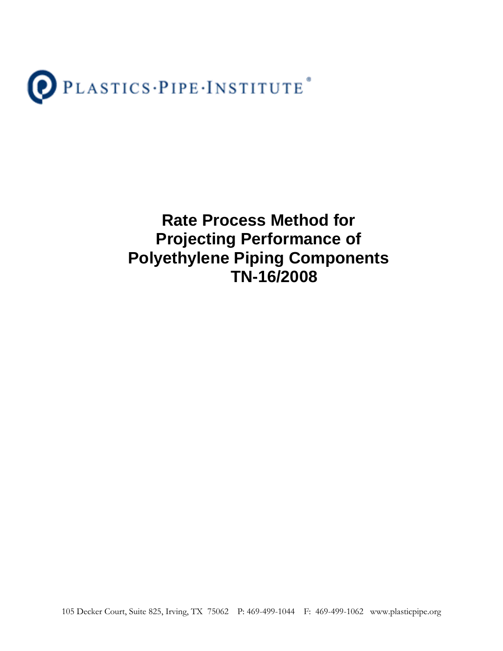

**Rate Process Method for Projecting Performance of Polyethylene Piping Components TN-16/2008** 

105 Decker Court, Suite 825, Irving, TX 75062 P: 469-499-1044 F: 469-499-1062 www.plasticpipe.org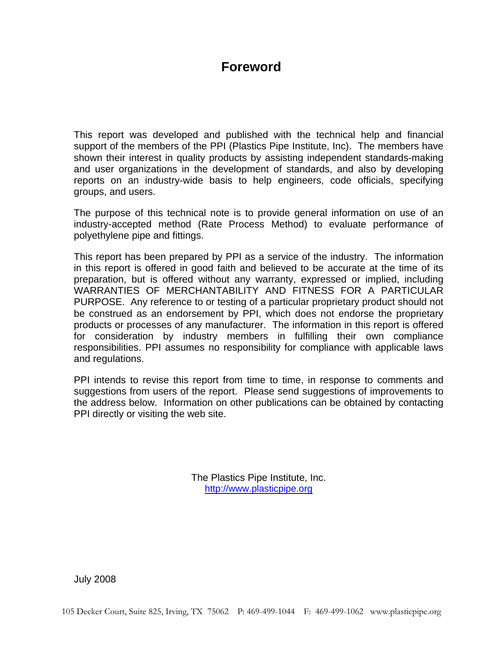# **Foreword**

This report was developed and published with the technical help and financial support of the members of the PPI (Plastics Pipe Institute, Inc). The members have shown their interest in quality products by assisting independent standards-making and user organizations in the development of standards, and also by developing reports on an industry-wide basis to help engineers, code officials, specifying groups, and users.

The purpose of this technical note is to provide general information on use of an industry-accepted method (Rate Process Method) to evaluate performance of polyethylene pipe and fittings.

This report has been prepared by PPI as a service of the industry. The information in this report is offered in good faith and believed to be accurate at the time of its preparation, but is offered without any warranty, expressed or implied, including WARRANTIES OF MERCHANTABILITY AND FITNESS FOR A PARTICULAR PURPOSE. Any reference to or testing of a particular proprietary product should not be construed as an endorsement by PPI, which does not endorse the proprietary products or processes of any manufacturer. The information in this report is offered for consideration by industry members in fulfilling their own compliance responsibilities. PPI assumes no responsibility for compliance with applicable laws and regulations.

PPI intends to revise this report from time to time, in response to comments and suggestions from users of the report. Please send suggestions of improvements to the address below. Information on other publications can be obtained by contacting PPI directly or visiting the web site.

> The Plastics Pipe Institute, Inc. http://www.plasticpipe.org

July 2008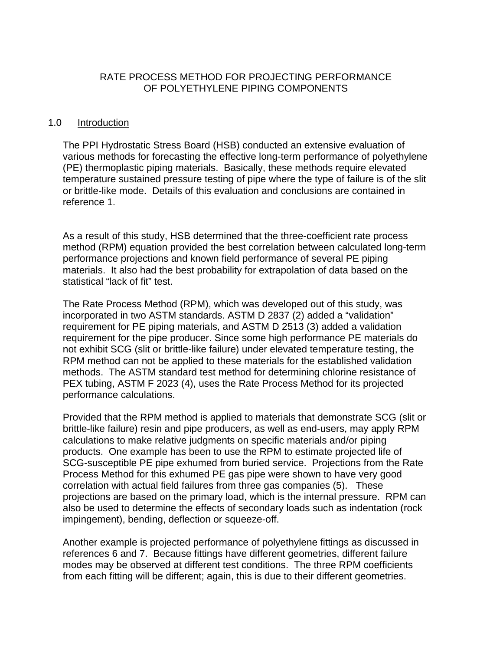# RATE PROCESS METHOD FOR PROJECTING PERFORMANCE OF POLYETHYLENE PIPING COMPONENTS

#### 1.0 Introduction

The PPI Hydrostatic Stress Board (HSB) conducted an extensive evaluation of various methods for forecasting the effective long-term performance of polyethylene (PE) thermoplastic piping materials. Basically, these methods require elevated temperature sustained pressure testing of pipe where the type of failure is of the slit or brittle-like mode. Details of this evaluation and conclusions are contained in reference 1.

As a result of this study, HSB determined that the three-coefficient rate process method (RPM) equation provided the best correlation between calculated long-term performance projections and known field performance of several PE piping materials. It also had the best probability for extrapolation of data based on the statistical "lack of fit" test.

The Rate Process Method (RPM), which was developed out of this study, was incorporated in two ASTM standards. ASTM D 2837 (2) added a "validation" requirement for PE piping materials, and ASTM D 2513 (3) added a validation requirement for the pipe producer. Since some high performance PE materials do not exhibit SCG (slit or brittle-like failure) under elevated temperature testing, the RPM method can not be applied to these materials for the established validation methods. The ASTM standard test method for determining chlorine resistance of PEX tubing, ASTM F 2023 (4), uses the Rate Process Method for its projected performance calculations.

Provided that the RPM method is applied to materials that demonstrate SCG (slit or brittle-like failure) resin and pipe producers, as well as end-users, may apply RPM calculations to make relative judgments on specific materials and/or piping products. One example has been to use the RPM to estimate projected life of SCG-susceptible PE pipe exhumed from buried service. Projections from the Rate Process Method for this exhumed PE gas pipe were shown to have very good correlation with actual field failures from three gas companies (5). These projections are based on the primary load, which is the internal pressure. RPM can also be used to determine the effects of secondary loads such as indentation (rock impingement), bending, deflection or squeeze-off.

Another example is projected performance of polyethylene fittings as discussed in references 6 and 7. Because fittings have different geometries, different failure modes may be observed at different test conditions. The three RPM coefficients from each fitting will be different; again, this is due to their different geometries.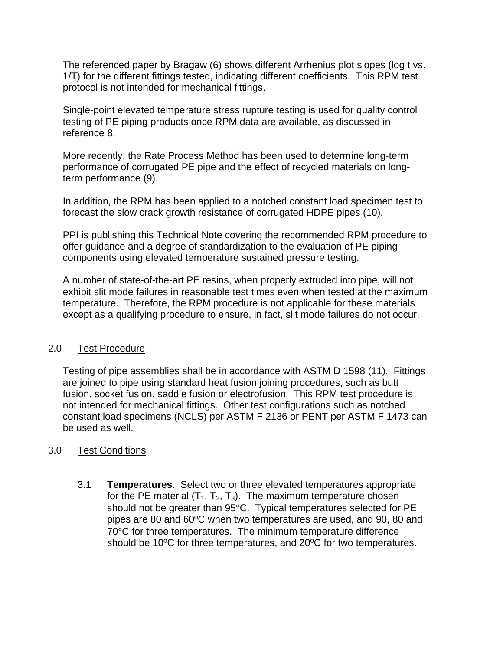The referenced paper by Bragaw (6) shows different Arrhenius plot slopes (log t vs. 1/T) for the different fittings tested, indicating different coefficients. This RPM test protocol is not intended for mechanical fittings.

Single-point elevated temperature stress rupture testing is used for quality control testing of PE piping products once RPM data are available, as discussed in reference 8.

More recently, the Rate Process Method has been used to determine long-term performance of corrugated PE pipe and the effect of recycled materials on longterm performance (9).

In addition, the RPM has been applied to a notched constant load specimen test to forecast the slow crack growth resistance of corrugated HDPE pipes (10).

PPI is publishing this Technical Note covering the recommended RPM procedure to offer guidance and a degree of standardization to the evaluation of PE piping components using elevated temperature sustained pressure testing.

A number of state-of-the-art PE resins, when properly extruded into pipe, will not exhibit slit mode failures in reasonable test times even when tested at the maximum temperature. Therefore, the RPM procedure is not applicable for these materials except as a qualifying procedure to ensure, in fact, slit mode failures do not occur.

# 2.0 Test Procedure

Testing of pipe assemblies shall be in accordance with ASTM D 1598 (11). Fittings are joined to pipe using standard heat fusion joining procedures, such as butt fusion, socket fusion, saddle fusion or electrofusion. This RPM test procedure is not intended for mechanical fittings. Other test configurations such as notched constant load specimens (NCLS) per ASTM F 2136 or PENT per ASTM F 1473 can be used as well.

# 3.0 Test Conditions

3.1 **Temperatures**. Select two or three elevated temperatures appropriate for the PE material  $(T_1, T_2, T_3)$ . The maximum temperature chosen should not be greater than 95°C. Typical temperatures selected for PE pipes are 80 and 60ºC when two temperatures are used, and 90, 80 and 70°C for three temperatures. The minimum temperature difference should be 10ºC for three temperatures, and 20ºC for two temperatures.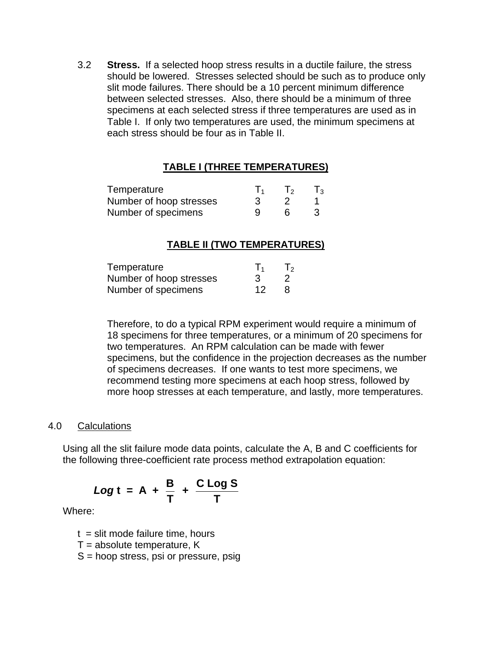3.2 **Stress.** If a selected hoop stress results in a ductile failure, the stress should be lowered.Stresses selected should be such as to produce only slit mode failures. There should be a 10 percent minimum difference between selected stresses. Also, there should be a minimum of three specimens at each selected stress if three temperatures are used as in Table I. If only two temperatures are used, the minimum specimens at each stress should be four as in Table II.

# **TABLE I (THREE TEMPERATURES)**

| Temperature             |  | $\mathsf{T}_3$ |
|-------------------------|--|----------------|
| Number of hoop stresses |  |                |
| Number of specimens     |  |                |

#### **TABLE II (TWO TEMPERATURES)**

| Temperature             |    | T <sub>2</sub> |
|-------------------------|----|----------------|
| Number of hoop stresses |    |                |
| Number of specimens     | 12 |                |

Therefore, to do a typical RPM experiment would require a minimum of 18 specimens for three temperatures, or a minimum of 20 specimens for two temperatures. An RPM calculation can be made with fewer specimens, but the confidence in the projection decreases as the number of specimens decreases. If one wants to test more specimens, we recommend testing more specimens at each hoop stress, followed by more hoop stresses at each temperature, and lastly, more temperatures.

#### 4.0 Calculations

Using all the slit failure mode data points, calculate the A, B and C coefficients for the following three-coefficient rate process method extrapolation equation:

$$
Log t = A + \frac{B}{T} + \frac{C Log S}{T}
$$

Where:

 $t =$  slit mode failure time, hours

 $T =$  absolute temperature, K

S = hoop stress, psi or pressure, psig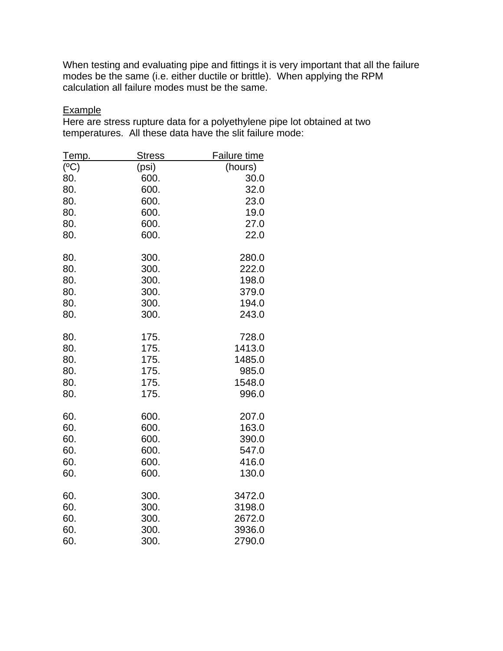When testing and evaluating pipe and fittings it is very important that all the failure modes be the same (i.e. either ductile or brittle). When applying the RPM calculation all failure modes must be the same.

# **Example**

Here are stress rupture data for a polyethylene pipe lot obtained at two temperatures. All these data have the slit failure mode:

| <u>Temp.</u> | <u>Stress</u> | <b>Failure time</b> |  |
|--------------|---------------|---------------------|--|
| (°C)         | (psi)         | (hours)             |  |
| 80.          | 600.          | 30.0                |  |
| 80.          | 600.          | 32.0                |  |
| 80.          | 600.          | 23.0                |  |
| 80.          | 600.          | 19.0                |  |
| 80.          | 600.          | 27.0                |  |
| 80.          | 600.          | 22.0                |  |
| 80.          | 300.          | 280.0               |  |
| 80.          | 300.          | 222.0               |  |
| 80.          | 300.          | 198.0               |  |
| 80.          | 300.          | 379.0               |  |
| 80.          | 300.          | 194.0               |  |
| 80.          | 300.          | 243.0               |  |
| 80.          | 175.          | 728.0               |  |
| 80.          | 175.          | 1413.0              |  |
| 80.          | 175.          | 1485.0              |  |
| 80.          | 175.          | 985.0               |  |
| 80.          | 175.          | 1548.0              |  |
| 80.          | 175.          | 996.0               |  |
| 60.          | 600.          | 207.0               |  |
| 60.          | 600.          | 163.0               |  |
| 60.          | 600.          | 390.0               |  |
| 60.          | 600.          | 547.0               |  |
| 60.          | 600.          | 416.0               |  |
| 60.          | 600.          | 130.0               |  |
| 60.          | 300.          | 3472.0              |  |
| 60.          | 300.          | 3198.0              |  |
| 60.          | 300.          | 2672.0              |  |
| 60.          | 300.          | 3936.0              |  |
| 60.          | 300.          | 2790.0              |  |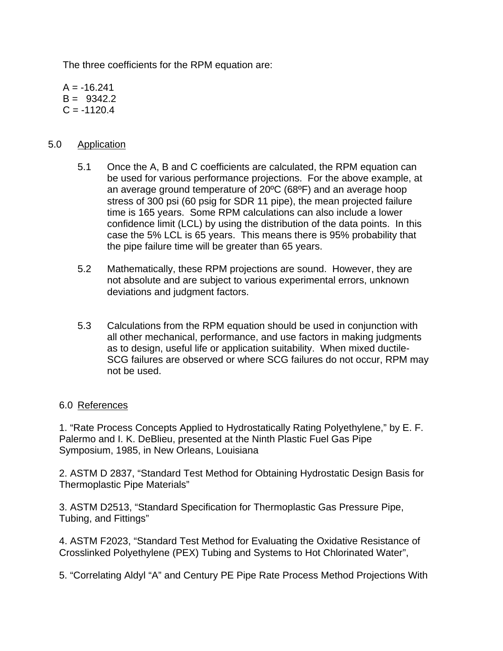The three coefficients for the RPM equation are:

 $A = -16.241$  $B = 9342.2$  $C = -1120.4$ 

# 5.0 Application

- 5.1 Once the A, B and C coefficients are calculated, the RPM equation can be used for various performance projections. For the above example, at an average ground temperature of 20ºC (68ºF) and an average hoop stress of 300 psi (60 psig for SDR 11 pipe), the mean projected failure time is 165 years. Some RPM calculations can also include a lower confidence limit (LCL) by using the distribution of the data points. In this case the 5% LCL is 65 years. This means there is 95% probability that the pipe failure time will be greater than 65 years.
- 5.2 Mathematically, these RPM projections are sound. However, they are not absolute and are subject to various experimental errors, unknown deviations and judgment factors.
- 5.3 Calculations from the RPM equation should be used in conjunction with all other mechanical, performance, and use factors in making judgments as to design, useful life or application suitability. When mixed ductile-SCG failures are observed or where SCG failures do not occur, RPM may not be used.

# 6.0 References

1. "Rate Process Concepts Applied to Hydrostatically Rating Polyethylene," by E. F. Palermo and I. K. DeBlieu, presented at the Ninth Plastic Fuel Gas Pipe Symposium, 1985, in New Orleans, Louisiana

2. ASTM D 2837, "Standard Test Method for Obtaining Hydrostatic Design Basis for Thermoplastic Pipe Materials"

3. ASTM D2513, "Standard Specification for Thermoplastic Gas Pressure Pipe, Tubing, and Fittings"

4. ASTM F2023, "Standard Test Method for Evaluating the Oxidative Resistance of Crosslinked Polyethylene (PEX) Tubing and Systems to Hot Chlorinated Water",

5. "Correlating Aldyl "A" and Century PE Pipe Rate Process Method Projections With